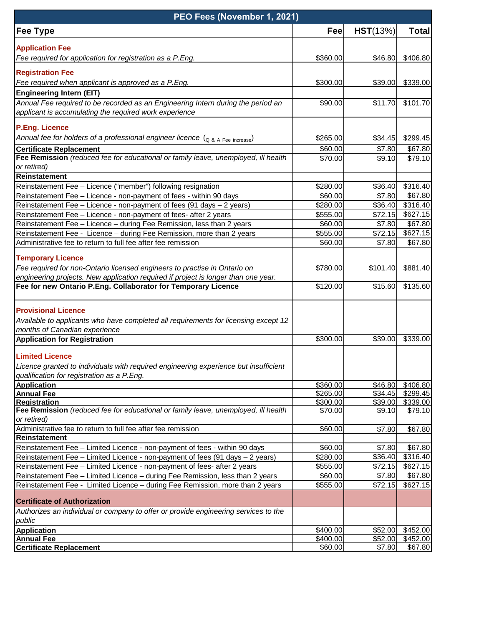| PEO Fees (November 1, 2021)                                                                                         |          |          |              |  |  |
|---------------------------------------------------------------------------------------------------------------------|----------|----------|--------------|--|--|
| <b>Fee Type</b>                                                                                                     | Fee      | HST(13%) | <b>Total</b> |  |  |
| <b>Application Fee</b>                                                                                              |          |          |              |  |  |
| Fee required for application for registration as a P.Eng.                                                           | \$360.00 | \$46.80  | \$406.80     |  |  |
|                                                                                                                     |          |          |              |  |  |
| <b>Registration Fee</b><br>Fee required when applicant is approved as a P.Eng.                                      |          |          | \$339.00     |  |  |
|                                                                                                                     | \$300.00 | \$39.00  |              |  |  |
| <b>Engineering Intern (EIT)</b><br>Annual Fee required to be recorded as an Engineering Intern during the period an | \$90.00  | \$11.70  | \$101.70     |  |  |
| applicant is accumulating the required work experience                                                              |          |          |              |  |  |
|                                                                                                                     |          |          |              |  |  |
| <b>P.Eng. Licence</b>                                                                                               |          |          |              |  |  |
| Annual fee for holders of a professional engineer licence $\left(_{Q_8, A}\right)$ Fee increase)                    | \$265.00 | \$34.45  | \$299.45     |  |  |
| <b>Certificate Replacement</b>                                                                                      | \$60.00  | \$7.80   | \$67.80      |  |  |
| Fee Remission (reduced fee for educational or family leave, unemployed, ill health                                  | \$70.00  | \$9.10   | \$79.10      |  |  |
| or retired)<br>Reinstatement                                                                                        |          |          |              |  |  |
| Reinstatement Fee - Licence ("member") following resignation                                                        | \$280.00 | \$36.40  | \$316.40     |  |  |
| Reinstatement Fee - Licence - non-payment of fees - within 90 days                                                  | \$60.00  | \$7.80   | \$67.80      |  |  |
| Reinstatement Fee - Licence - non-payment of fees (91 days - 2 years)                                               | \$280.00 | \$36.40  | \$316.40     |  |  |
| Reinstatement Fee - Licence - non-payment of fees- after 2 years                                                    | \$555.00 | \$72.15  | \$627.15     |  |  |
| Reinstatement Fee - Licence - during Fee Remission, less than 2 years                                               | \$60.00  | \$7.80   | \$67.80      |  |  |
| Reinstatement Fee - Licence - during Fee Remission, more than 2 years                                               | \$555.00 | \$72.15  | \$627.15     |  |  |
| Administrative fee to return to full fee after fee remission                                                        | \$60.00  | \$7.80   | \$67.80      |  |  |
|                                                                                                                     |          |          |              |  |  |
| <b>Temporary Licence</b>                                                                                            |          |          |              |  |  |
| Fee required for non-Ontario licensed engineers to practise in Ontario on                                           | \$780.00 | \$101.40 | \$881.40     |  |  |
| engineering projects. New application required if project is longer than one year.                                  |          |          |              |  |  |
| Fee for new Ontario P.Eng. Collaborator for Temporary Licence                                                       | \$120.00 | \$15.60  | \$135.60     |  |  |
| <b>Provisional Licence</b>                                                                                          |          |          |              |  |  |
| Available to applicants who have completed all requirements for licensing except 12                                 |          |          |              |  |  |
| months of Canadian experience                                                                                       |          |          |              |  |  |
| <b>Application for Registration</b>                                                                                 | \$300.00 | \$39.00  | \$339.00     |  |  |
| <b>Limited Licence</b>                                                                                              |          |          |              |  |  |
| Licence granted to individuals with required engineering experience but insufficient                                |          |          |              |  |  |
| qualification for registration as a P.Eng.                                                                          |          |          |              |  |  |
| <b>Application</b>                                                                                                  | \$360.00 | \$46.80  | \$406.80     |  |  |
| <b>Annual Fee</b>                                                                                                   | \$265.00 | \$34.45  | \$299.45     |  |  |
| <b>Registration</b>                                                                                                 | \$300.00 | \$39.00  | \$339.00     |  |  |
| Fee Remission (reduced fee for educational or family leave, unemployed, ill health<br>or retired)                   | \$70.00  | \$9.10   | \$79.10      |  |  |
| Administrative fee to return to full fee after fee remission                                                        | \$60.00  | \$7.80   | \$67.80      |  |  |
| Reinstatement                                                                                                       |          |          |              |  |  |
| Reinstatement Fee - Limited Licence - non-payment of fees - within 90 days                                          | \$60.00  | \$7.80   | \$67.80      |  |  |
| Reinstatement Fee - Limited Licence - non-payment of fees (91 days - 2 years)                                       | \$280.00 | \$36.40  | \$316.40     |  |  |
| Reinstatement Fee - Limited Licence - non-payment of fees- after 2 years                                            | \$555.00 | \$72.15  | \$627.15     |  |  |
| Reinstatement Fee - Limited Licence - during Fee Remission, less than 2 years                                       | \$60.00  | \$7.80   | \$67.80      |  |  |
| Reinstatement Fee - Limited Licence - during Fee Remission, more than 2 years                                       | \$555.00 | \$72.15  | \$627.15     |  |  |
| <b>Certificate of Authorization</b>                                                                                 |          |          |              |  |  |
| Authorizes an individual or company to offer or provide engineering services to the                                 |          |          |              |  |  |
| public                                                                                                              |          |          |              |  |  |
| Application                                                                                                         | \$400.00 | \$52.00  | \$452.00     |  |  |
| <b>Annual Fee</b>                                                                                                   | \$400.00 | \$52.00  | \$452.00     |  |  |
| <b>Certificate Replacement</b>                                                                                      | \$60.00  | \$7.80   | \$67.80      |  |  |